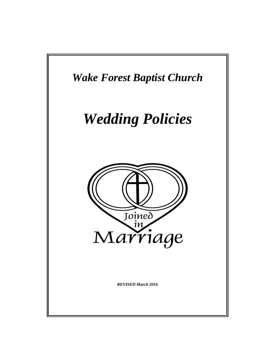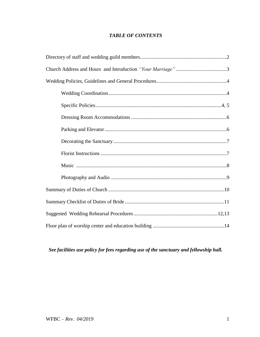# *TABLE OF CONTENTS*

# *See facilities use policy for fees regarding use of the sanctuary and fellowship hall.*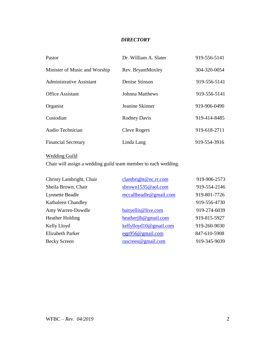# *DIRECTORY*

| Pastor                          | Dr. William A. Slater  | 919-556-5141 |
|---------------------------------|------------------------|--------------|
| Minister of Music and Worship   | Rev. BryantMoxley      | 304-320-0054 |
| <b>Administrative Assistant</b> | Denise Stinson         | 919-556-5141 |
| <b>Office Assistant</b>         | <b>Johnna Matthews</b> | 919-556-5141 |
| Organist                        | Jeanine Skinner        | 919-906-0490 |
| Custodian                       | <b>Rodney Davis</b>    | 919-414-8485 |
| Audio Technician                | <b>Cleve Rogers</b>    | 919-618-2711 |
| <b>Financial Secretary</b>      | Linda Lang             | 919-554-3916 |

# Wedding Guild

Chair will assign a wedding guild team member to each wedding.

| Christy Lambright, Chair  | clambright@nc.rr.com   | 919-906-2573 |
|---------------------------|------------------------|--------------|
| Sheila Brown, Chair       | sbrown1535@aol.com     | 919-554-2146 |
| <b>Lynnette Beadle</b>    | mccallbeadle@gmail.com | 919-801-7726 |
| <b>Kathaleen Chandley</b> |                        | 919-556-4730 |
| Amy Warren-Dowdle         | baityellis@live.com    | 919-274-6039 |
| <b>Heather Holding</b>    | heatherilh@gmail.com   | 919-815-5927 |
| Kelly Lloyd               | kellylloyd10@gmail.com | 919-260-9030 |
| <b>Elizabeth Parker</b>   | egp956@gmail.com       | 847-610-5908 |
| <b>Becky Screen</b>       | rascreen@gmail.com     | 919-345-9039 |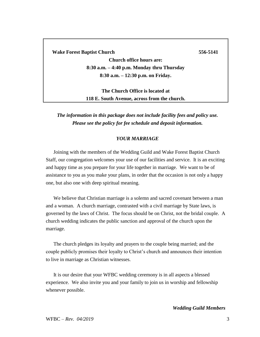**Wake Forest Baptist Church 556-5141**

**Church office hours are: 8:30 a.m. – 4:40 p.m. Monday thru Thursday 8:30 a.m. – 12:30 p.m. on Friday.**

**The Church Office is located at 118 E. South Avenue, across from the church.**

*The information in this package does not include facility fees and policy use. Please see the policy for fee schedule and deposit information.* 

## *YOUR MARRIAGE*

Joining with the members of the Wedding Guild and Wake Forest Baptist Church Staff, our congregation welcomes your use of our facilities and service. It is an exciting and happy time as you prepare for your life together in marriage. We want to be of assistance to you as you make your plans, in order that the occasion is not only a happy one, but also one with deep spiritual meaning.

We believe that Christian marriage is a solemn and sacred covenant between a man and a woman. A church marriage, contrasted with a civil marriage by State laws, is governed by the laws of Christ. The focus should be on Christ, not the bridal couple. A church wedding indicates the public sanction and approval of the church upon the marriage.

The church pledges its loyalty and prayers to the couple being married; and the couple publicly promises their loyalty to Christ's church and announces their intention to live in marriage as Christian witnesses.

It is our desire that your WFBC wedding ceremony is in all aspects a blessed experience. We also invite you and your family to join us in worship and fellowship whenever possible.

*Wedding Guild Members*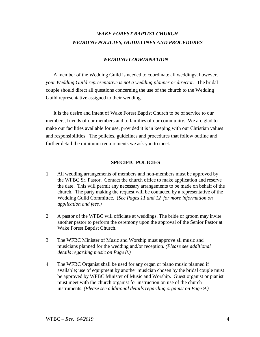# *WAKE FOREST BAPTIST CHURCH WEDDING POLICIES, GUIDELINES AND PROCEDURES*

## *WEDDING COORDINATION*

A member of the Wedding Guild is needed to coordinate all weddings; however, *your Wedding Guild representative is not a wedding planner or director*. The bridal couple should direct all questions concerning the use of the church to the Wedding Guild representative assigned to their wedding.

It is the desire and intent of Wake Forest Baptist Church to be of service to our members, friends of our members and to families of our community. We are glad to make our facilities available for use, provided it is in keeping with our Christian values and responsibilities. The policies, guidelines and procedures that follow outline and further detail the minimum requirements we ask you to meet.

# **SPECIFIC POLICIES**

- 1. All wedding arrangements of members and non-members must be approved by the WFBC Sr. Pastor. Contact the church office to make application and reserve the date. This will permit any necessary arrangements to be made on behalf of the church. The party making the request will be contacted by a representative of the Wedding Guild Committee. (*See Pages 11 and 12 for more information on application and fees.)*
- 2. A pastor of the WFBC will officiate at weddings. The bride or groom may invite another pastor to perform the ceremony upon the approval of the Senior Pastor at Wake Forest Baptist Church.
- 3. The WFBC Minister of Music and Worship must approve all music and musicians planned for the wedding and/or reception. *(Please see additional details regarding music on Page 8.)*
- 4. The WFBC Organist shall be used for any organ or piano music planned if available; use of equipment by another musician chosen by the bridal couple must be approved by WFBC Minister of Music and Worship.Guest organist or pianist must meet with the church organist for instruction on use of the church instruments. *(Please see additional details regarding organist on Page 9.)*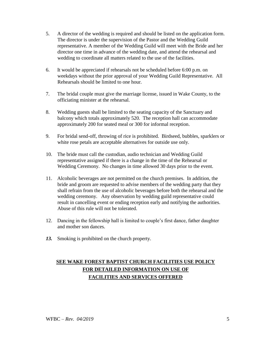- 5. A director of the wedding is required and should be listed on the application form. The director is under the supervision of the Pastor and the Wedding Guild representative. A member of the Wedding Guild will meet with the Bride and her director one time in advance of the wedding date, and attend the rehearsal and wedding to coordinate all matters related to the use of the facilities.
- 6. It would be appreciated if rehearsals not be scheduled before 6:00 p.m. on weekdays without the prior approval of your Wedding Guild Representative. All Rehearsals should be limited to one hour.
- 7. The bridal couple must give the marriage license, issued in Wake County, to the officiating minister at the rehearsal.
- 8. Wedding guests shall be limited to the seating capacity of the Sanctuary and balcony which totals approximately 520. The reception hall can accommodate approximately 200 for seated meal or 300 for informal reception.
- 9. For bridal send-off, throwing of rice is prohibited. Birdseed, bubbles, sparklers or white rose petals are acceptable alternatives for outside use only.
- 10. The bride must call the custodian, audio technician and Wedding Guild representative assigned if there is a change in the time of the Rehearsal or Wedding Ceremony. No changes in time allowed 30 days prior to the event.
- 11. Alcoholic beverages are not permitted on the church premises. In addition, the bride and groom are requested to advise members of the wedding party that they shall refrain from the use of alcoholic beverages before both the rehearsal and the wedding ceremony. Any observation by wedding guild representative could result in cancelling event or ending reception early and notifying the authorities. Abuse of this rule will not be tolerated.
- 12. Dancing in the fellowship hall is limited to couple's first dance, father daughter and mother son dances.
- *13.* Smoking is prohibited on the church property.

# **SEE WAKE FOREST BAPTIST CHURCH FACILITIES USE POLICY FOR DETAILED INFORMATION ON USE OF FACILITIES AND SERVICES OFFERED**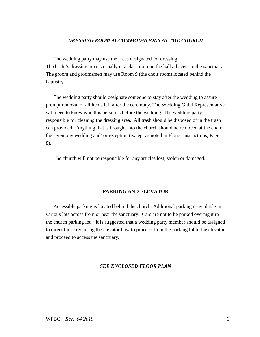#### *DRESSING ROOM ACCOMMODATIONS AT THE CHURCH*

The wedding party may use the areas designated for dressing. The bride's dressing area is usually in a classroom on the hall adjacent to the sanctuary. The groom and groomsmen may use Room 9 (the choir room) located behind the baptistry.

The wedding party should designate someone to stay after the wedding to assure prompt removal of all items left after the ceremony. The Wedding Guild Representative will need to know who this person is before the wedding. The wedding party is responsible for cleaning the dressing area. All trash should be disposed of in the trash can provided. Anything that is brought into the church should be removed at the end of the ceremony wedding and/ or reception (except as noted in Florist Instructions, Page 8).

The church will not be responsible for any articles lost, stolen or damaged.

#### **PARKING AND ELEVATOR**

Accessible parking is located behind the church. Additional parking is available in various lots across from or near the sanctuary. Cars are not to be parked overnight in the church parking lot. It is suggested that a wedding party member should be assigned to direct those requiring the elevator how to proceed from the parking lot to the elevator and proceed to access the sanctuary.

#### *SEE ENCLOSED FLOOR PLAN*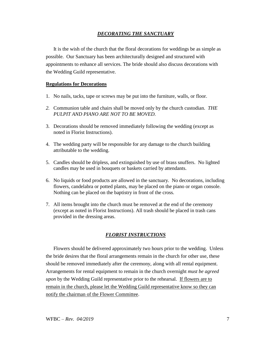# *DECORATING THE SANCTUARY*

It is the wish of the church that the floral decorations for weddings be as simple as possible. Our Sanctuary has been architecturally designed and structured with appointments to enhance all services. The bride should also discuss decorations with the Wedding Guild representative.

# **Regulations for Decorations**

- 1. No nails, tacks, tape or screws may be put into the furniture, walls, or floor.
- *2.* Communion table and chairs shall be moved only by the church custodian. *THE PULPIT AND PIANO ARE NOT TO BE MOVED.*
- 3. Decorations should be removed immediately following the wedding (except as noted in Florist Instructions).
- 4. The wedding party will be responsible for any damage to the church building attributable to the wedding.
- 5. Candles should be dripless, and extinguished by use of brass snuffers. No lighted candles may be used in bouquets or baskets carried by attendants.
- 6. No liquids or food products are allowed in the sanctuary. No decorations, including flowers, candelabra or potted plants, may be placed on the piano or organ console. Nothing can be placed on the baptistry in front of the cross.
- 7. All items brought into the church must be removed at the end of the ceremony (except as noted in Florist Instructions). All trash should be placed in trash cans provided in the dressing areas.

# *FLORIST INSTRUCTIONS*

Flowers should be delivered approximately two hours prior to the wedding. Unless the bride desires that the floral arrangements remain in the church for other use, these should be removed immediately after the ceremony, along with all rental equipment. Arrangements for rental equipment to remain in the church overnight *must be agreed upon* by the Wedding Guild representative prior to the rehearsal. If flowers are to remain in the church, please let the Wedding Guild representative know so they can notify the chairman of the Flower Committee.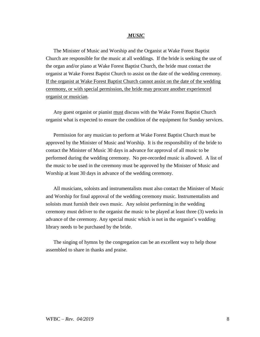#### *MUSIC*

The Minister of Music and Worship and the Organist at Wake Forest Baptist Church are responsible for the music at all weddings. If the bride is seeking the use of the organ and/or piano at Wake Forest Baptist Church, the bride must contact the organist at Wake Forest Baptist Church to assist on the date of the wedding ceremony. If the organist at Wake Forest Baptist Church cannot assist on the date of the wedding ceremony, or with special permission, the bride may procure another experienced organist or musician.

Any guest organist or pianist must discuss with the Wake Forest Baptist Church organist what is expected to ensure the condition of the equipment for Sunday services.

Permission for any musician to perform at Wake Forest Baptist Church must be approved by the Minister of Music and Worship. It is the responsibility of the bride to contact the Minister of Music 30 days in advance for approval of all music to be performed during the wedding ceremony. No pre-recorded music is allowed. A list of the music to be used in the ceremony must be approved by the Minister of Music and Worship at least 30 days in advance of the wedding ceremony.

All musicians, soloists and instrumentalists must also contact the Minister of Music and Worship for final approval of the wedding ceremony music. Instrumentalists and soloists must furnish their own music. Any soloist performing in the wedding ceremony must deliver to the organist the music to be played at least three (3) weeks in advance of the ceremony. Any special music which is not in the organist's wedding library needs to be purchased by the bride.

The singing of hymns by the congregation can be an excellent way to help those assembled to share in thanks and praise.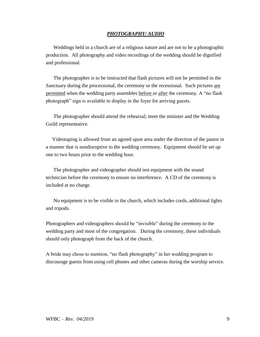### *PHOTOGRAPHY/ AUDIO*

Weddings held in a church are of a religious nature and are not to be a photographic production. All photography and video recordings of the wedding should be dignified and professional.

The photographer is to be instructed that flash pictures will not be permitted in the Sanctuary during the processional, the ceremony or the recessional. Such pictures are permitted when the wedding party assembles before or after the ceremony. A "no flash photograph" sign is available to display in the foyer for arriving guests.

The photographer should attend the rehearsal; meet the minister and the Wedding Guild representative.

 Videotaping is allowed from an agreed upon area under the direction of the pastor in a manner that is nondisruptive to the wedding ceremony. Equipment should be set up one to two hours prior to the wedding hour.

The photographer and videographer should test equipment with the sound technician before the ceremony to ensure no interference. A CD of the ceremony is included at no charge.

No equipment is to be visible in the church, which includes cords, additional lights and tripods.

Photographers and videographers should be "invisible" during the ceremony to the wedding party and most of the congregation. During the ceremony, these individuals should only photograph from the back of the church.

A bride may chose to mention, "no flash photography" in her wedding program to discourage guests from using cell phones and other cameras during the worship service.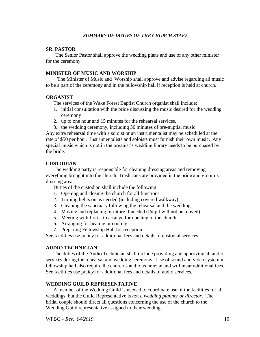#### *SUMMARY OF DUTIES OF THE CHURCH STAFF*

#### **SR. PASTOR**

The Senior Pastor shall approve the wedding plans and use of any other minister for the ceremony.

## **MINISTER OF MUSIC AND WORSHIP**

The Minister of Music and Worship shall approve and advise regarding all music to be a part of the ceremony and in the fellowship hall if reception is held at church.

## **ORGANIST**

The services of the Wake Forest Baptist Church organist shall include:

- 1. initial consultation with the bride discussing the music desired for the wedding ceremony
- 2. up to one hour and 15 minutes for the rehearsal services,
- 3. the wedding ceremony, including 30 minutes of pre-nuptial music

Any extra rehearsal time with a soloist or an instrumentalist may be scheduled at the rate of \$50 per hour. Instrumentalists and soloists must furnish their own music. Any special music which is not in the organist's wedding library needs to be purchased by the bride.

## **CUSTODIAN**

The wedding party is responsible for cleaning dressing areas and removing everything brought into the church. Trash cans are provided in the bride and groom's dressing area.

Duties of the custodian shall include the following:

- 1. Opening and closing the church for all functions.
- 2. Turning lights on as needed (including covered walkway).
- 3. Cleaning the sanctuary following the rehearsal and the wedding.
- 4. Moving and replacing furniture if needed (Pulpit will not be moved).
- 5. Meeting with florist to arrange for opening of the church.
- 6. Arranging for heating or cooling.
- 7. Preparing Fellowship Hall for reception.

See facilities use policy for additional fees and details of custodial services.

# **AUDIO TECHNICIAN**

The duties of the Audio Technician shall include providing and approving all audio services during the rehearsal and wedding ceremony. Use of sound and video system in fellowship hall also require the church's audio technician and will incur additional fees. See facilities use policy for additional fees and details of audio services.

## **WEDDING GUILD REPRESENTATIVE**

A member of the Wedding Guild is needed to coordinate use of the facilities for all weddings, but the Guild Representative is *not a wedding planner or director*. The bridal couple should direct all questions concerning the use of the church to the Wedding Guild representative assigned to their wedding.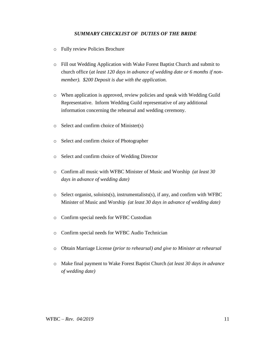# *SUMMARY CHECKLIST OF DUTIES OF THE BRIDE*

- o Fully review Policies Brochure
- o Fill out Wedding Application with Wake Forest Baptist Church and submit to church office (*at least 120 days in advance of wedding date or 6 months if nonmember). \$200 Deposit is due with the application.*
- o When application is approved, review policies and speak with Wedding Guild Representative. Inform Wedding Guild representative of any additional information concerning the rehearsal and wedding ceremony.
- o Select and confirm choice of Minister(s)
- o Select and confirm choice of Photographer
- o Select and confirm choice of Wedding Director
- o Confirm all music with WFBC Minister of Music and Worship *(at least 30 days in advance of wedding date)*
- $\circ$  Select organist, soloists(s), instrumentalists(s), if any, and confirm with WFBC Minister of Music and Worship *(at least 30 days in advance of wedding date)*
- o Confirm special needs for WFBC Custodian
- o Confirm special needs for WFBC Audio Technician
- o Obtain Marriage License *(prior to rehearsal) and give to Minister at rehearsal*
- o Make final payment to Wake Forest Baptist Church *(at least 30 days in advance of wedding date)*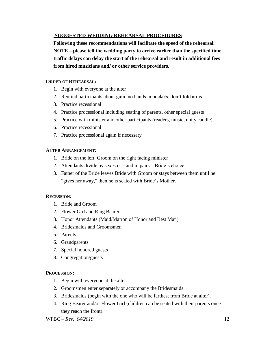# **SUGGESTED WEDDING REHEARSAL PROCEDURES**

**Following these recommendations will facilitate the speed of the rehearsal. NOTE – please tell the wedding party to arrive earlier than the specified time, traffic delays can delay the start of the rehearsal and result in additional fees from hired musicians and/ or other service providers.** 

# **ORDER OF REHEARSAL:**

- 1. Begin with everyone at the alter
- 2. Remind participants about gum, no hands in pockets, don't fold arms
- 3. Practice recessional
- 4. Practice processional including seating of parents, other special guests
- 5. Practice with minister and other participants (readers, music, unity candle)
- 6. Practice recessional
- 7. Practice processional again if necessary

# **ALTER ARRANGEMENT:**

- 1. Bride on the left; Groom on the right facing minister
- 2. Attendants divide by sexes or stand in pairs—Bride's choice
- 3. Father of the Bride leaves Bride with Groom or stays between them until he "gives her away," then he is seated with Bride's Mother.

# **RECESSION:**

- 1. Bride and Groom
- 2. Flower Girl and Ring Bearer
- 3. Honor Attendants (Maid/Matron of Honor and Best Man)
- 4. Bridesmaids and Groomsmen
- 5. Parents
- 6. Grandparents
- 7. Special honored guests
- 8. Congregation/guests

# **PROCESSION:**

- 1. Begin with everyone at the alter.
- 2. Groomsmen enter separately or accompany the Bridesmaids.
- 3. Bridesmaids (begin with the one who will be farthest from Bride at alter).
- 4. Ring Bearer and/or Flower Girl (children can be seated with their parents once they reach the front).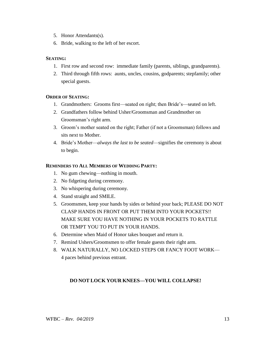- 5. Honor Attendants(s).
- 6. Bride, walking to the left of her escort.

# **SEATING:**

- 1. First row and second row: immediate family (parents, siblings, grandparents).
- 2. Third through fifth rows: aunts, uncles, cousins, godparents; stepfamily; other special guests.

# **ORDER OF SEATING:**

- 1. Grandmothers: Grooms first—seated on right; then Bride's—seated on left.
- 2. Grandfathers follow behind Usher/Groomsman and Grandmother on Groomsman's right arm.
- 3. Groom's mother seated on the right; Father (if not a Groomsman) follows and sits next to Mother.
- 4. Bride's Mother—*always the last to be seated*—signifies the ceremony is about to begin.

## **REMINDERS TO ALL MEMBERS OF WEDDING PARTY:**

- 1. No gum chewing—nothing in mouth.
- 2. No fidgeting during ceremony.
- 3. No whispering during ceremony.
- 4. Stand straight and SMILE.
- 5. Groomsmen, keep your hands by sides or behind your back; PLEASE DO NOT CLASP HANDS IN FRONT OR PUT THEM INTO YOUR POCKETS!! MAKE SURE YOU HAVE NOTHING IN YOUR POCKETS TO RATTLE OR TEMPT YOU TO PUT IN YOUR HANDS.
- 6. Determine when Maid of Honor takes bouquet and return it.
- 7. Remind Ushers/Groomsmen to offer female guests their right arm.
- 8. WALK NATURALLY, NO LOCKED STEPS OR FANCY FOOT WORK— 4 paces behind previous entrant.

# **DO NOT LOCK YOUR KNEES—YOU WILL COLLAPSE!**